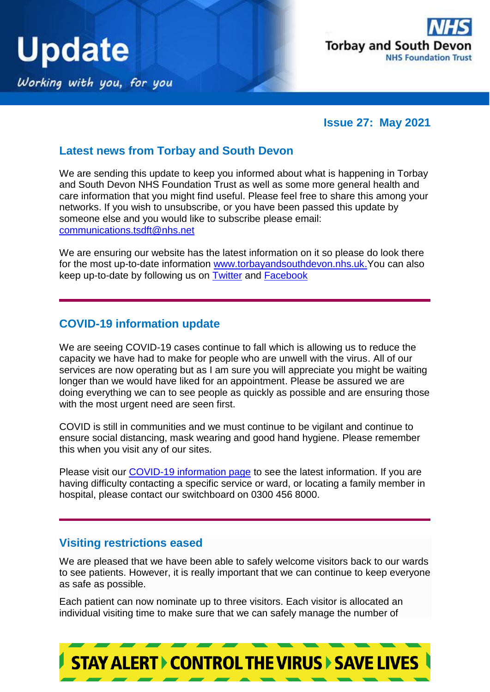



**Issue 27: May 2021**

### **Latest news from Torbay and South Devon**

We are sending this update to keep you informed about what is happening in Torbay and South Devon NHS Foundation Trust as well as some more general health and care information that you might find useful. Please feel free to share this among your networks. If you wish to unsubscribe, or you have been passed this update by someone else and you would like to subscribe please email: [communications.tsdft@nhs.net](mailto:communications.tsdft@nhs.net)

We are ensuring our website has the latest information on it so please do look there for the most up-to-date information [www.torbayandsouthdevon.nhs.uk.](http://www.torbayandsouthdevon.nhs.uk/) You can also keep up-to-date by following us on [Twitter](https://twitter.com/TorbaySDevonNHS) and [Facebook](https://www.facebook.com/TorbayAndSouthDevonFT/?__tn__=kC-R&eid=ARB8VIcyv1N5c_63SKvfJBdJcFyGC4B9PcAiYnXYxpe3FH4AcH4kJEhjyZgxZuWbYjRh5r4qBM7jiSPw&hc_ref=ARQ93H9CRaHVjxtYmfFCoPY8Bs1HVvlh2vaHf147z0pBbc43XbcxCFma-UTwE5ql-iw&fref=nf&__xts__%5b0%5d=68.ARBN__0LoLOJBUuDP36I-lv1XhXf-z9nZc3W-kxiSTYnnRUNcfOvYq1xbCKkAY3z_EMLam82Dqk5j7WIgr-D7FK05dlGV5zEvEqgzeBhYF-jw9i9lRwN5iSuI7P3HrI0wgMj4lNHyBNeUf0iiIloO_rXRH4SkhzFqWnRdP0AvhFyBCoKPdoWP-Rx0Xep_QZfGji6cH84Cd3p1bgyQ7v0r4xl6g9lk01rqv4Wd1k0riHuwMqV-QhAltm8DHSZQyUgrcZ686imfhCO0FnFDhZsIwWOn64mi5PilxRcvMlblpuF8ccYDTDpx4TgEhtNjzCVdekI-j8ckLZWjBjDxwAP7gsNqJpPUbvqIP4ZAnhKdd8-1T78SvvpoQTS2y4gOcSCCkVGpX2cZIXL5kGij_209brZzdCvzwtMNTrzf37h_SFfhEgwLVdehWrJpIa2GxpWcCc9LZTgX96R7l4NOQ4pLEL9deimB3dpFA5isacdWnCkzfFi_8nZNTbCHrM3jnWb6vUw)

### **COVID-19 information update**

We are seeing COVID-19 cases continue to fall which is allowing us to reduce the capacity we have had to make for people who are unwell with the virus. All of our services are now operating but as I am sure you will appreciate you might be waiting longer than we would have liked for an appointment. Please be assured we are doing everything we can to see people as quickly as possible and are ensuring those with the most urgent need are seen first.

COVID is still in communities and we must continue to be vigilant and continue to ensure social distancing, mask wearing and good hand hygiene. Please remember this when you visit any of our sites.

Please visit our [COVID-19 information page](https://www.torbayandsouthdevon.nhs.uk/coronavirus/) to see the latest information. If you are having difficulty contacting a specific service or ward, or locating a family member in hospital, please contact our switchboard on 0300 456 8000.

#### **Visiting restrictions eased**

We are pleased that we have been able to safely welcome visitors back to our wards to see patients. However, it is really important that we can continue to keep everyone as safe as possible.

**STAY ALERT > CONTROL THE VIRUS > SAVE LIVES** 

Each patient can now nominate up to three visitors. Each visitor is allocated an individual visiting time to make sure that we can safely manage the number of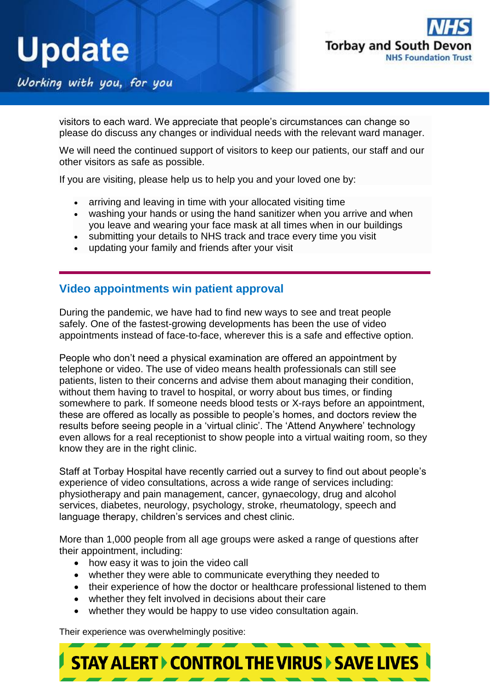

Working with you, for you

visitors to each ward. We appreciate that people's circumstances can change so please do discuss any changes or individual needs with the relevant ward manager.

We will need the continued support of visitors to keep our patients, our staff and our other visitors as safe as possible.

If you are visiting, please help us to help you and your loved one by:

- arriving and leaving in time with your allocated visiting time
- washing your hands or using the hand sanitizer when you arrive and when you leave and wearing your face mask at all times when in our buildings
- submitting your details to NHS track and trace every time you visit
- updating your family and friends after your visit

#### **Video appointments win patient approval**

During the pandemic, we have had to find new ways to see and treat people safely. One of the fastest-growing developments has been the use of video appointments instead of face-to-face, wherever this is a safe and effective option.

People who don't need a physical examination are offered an appointment by telephone or video. The use of video means health professionals can still see patients, listen to their concerns and advise them about managing their condition, without them having to travel to hospital, or worry about bus times, or finding somewhere to park. If someone needs blood tests or X-rays before an appointment, these are offered as locally as possible to people's homes, and doctors review the results before seeing people in a 'virtual clinic'. The 'Attend Anywhere' technology even allows for a real receptionist to show people into a virtual waiting room, so they know they are in the right clinic.

Staff at Torbay Hospital have recently carried out a survey to find out about people's experience of video consultations, across a wide range of services including: physiotherapy and pain management, cancer, gynaecology, drug and alcohol services, diabetes, neurology, psychology, stroke, rheumatology, speech and language therapy, children's services and chest clinic.

More than 1,000 people from all age groups were asked a range of questions after their appointment, including:

- how easy it was to join the video call
- whether they were able to communicate everything they needed to
- their experience of how the doctor or healthcare professional listened to them
- whether they felt involved in decisions about their care
- whether they would be happy to use video consultation again.

Their experience was overwhelmingly positive: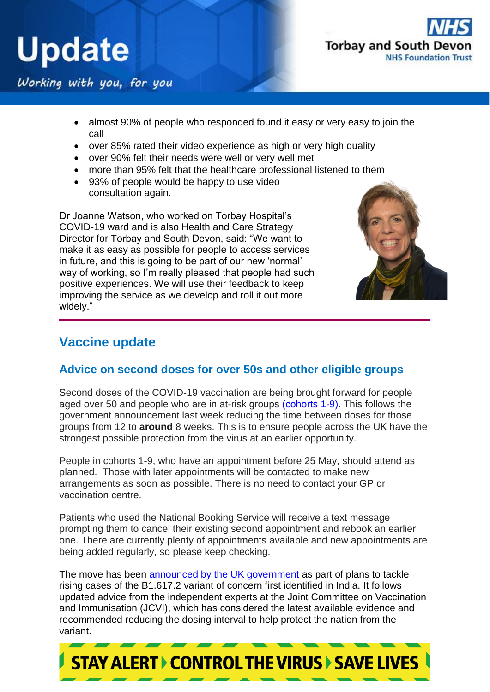



### Working with you, for you

- almost 90% of people who responded found it easy or very easy to join the call
- over 85% rated their video experience as high or very high quality
- over 90% felt their needs were well or very well met
- more than 95% felt that the healthcare professional listened to them
- 93% of people would be happy to use video consultation again.

Dr Joanne Watson, who worked on Torbay Hospital's COVID-19 ward and is also Health and Care Strategy Director for Torbay and South Devon, said: "We want to make it as easy as possible for people to access services in future, and this is going to be part of our new 'normal' way of working, so I'm really pleased that people had such positive experiences. We will use their feedback to keep improving the service as we develop and roll it out more widely."



## **Vaccine update**

#### **Advice on second doses for over 50s and other eligible groups**

Second doses of the COVID-19 vaccination are being brought forward for people aged over 50 and people who are in at-risk groups [\(cohorts 1-9\).](https://www.gov.uk/government/publications/covid-19-vaccination-care-home-and-healthcare-settings-posters/covid-19-vaccination-first-phase-priority-groups) This follows the government announcement last week reducing the time between doses for those groups from 12 to **around** 8 weeks. This is to ensure people across the UK have the strongest possible protection from the virus at an earlier opportunity.

People in cohorts 1-9, who have an appointment before 25 May, should attend as planned. Those with later appointments will be contacted to make new arrangements as soon as possible. There is no need to contact your GP or vaccination centre.

Patients who used the National Booking Service will receive a text message prompting them to cancel their existing second appointment and rebook an earlier one. There are currently plenty of appointments available and new appointments are being added regularly, so please keep checking.

The move has been [announced by the UK government](https://www.gov.uk/government/news/most-vulnerable-offered-second-dose-of-covid-19-vaccine-earlier-to-help-protect-against-variants) as part of plans to tackle rising cases of the B1.617.2 variant of concern first identified in India. It follows updated advice from the independent experts at the Joint Committee on Vaccination and Immunisation (JCVI), which has considered the latest available evidence and recommended reducing the dosing interval to help protect the nation from the variant.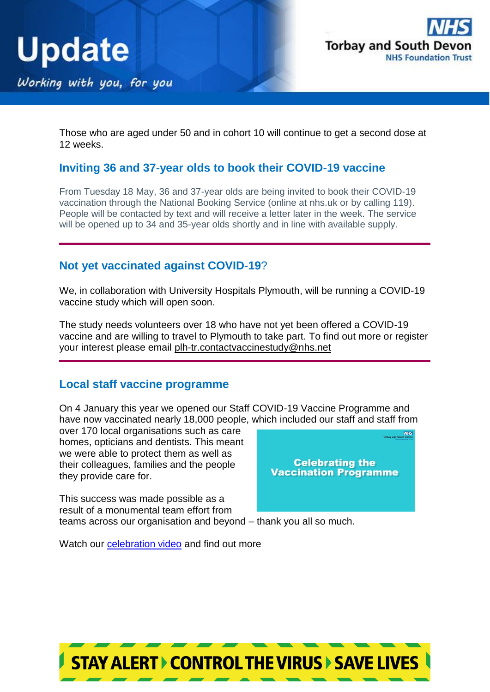



Those who are aged under 50 and in cohort 10 will continue to get a second dose at 12 weeks.

#### **Inviting 36 and 37-year olds to book their COVID-19 vaccine**

From Tuesday 18 May, 36 and 37-year olds are being invited to book their COVID-19 vaccination through the National Booking Service (online at nhs.uk or by calling 119). People will be contacted by text and will receive a letter later in the week. The service will be opened up to 34 and 35-year olds shortly and in line with available supply.

#### **Not yet vaccinated against COVID-19**?

We, in collaboration with University Hospitals Plymouth, will be running a COVID-19 vaccine study which will open soon.

The study needs volunteers over 18 who have not yet been offered a COVID-19 vaccine and are willing to travel to Plymouth to take part. To find out more or register your interest please email [plh-tr.contactvaccinestudy@nhs.net](mailto:plh-tr.contactvaccinestudy@nhs.net)

#### **Local staff vaccine programme**

On 4 January this year we opened our Staff COVID-19 Vaccine Programme and have now vaccinated nearly 18,000 people, which included our staff and staff from

over 170 local organisations such as care homes, opticians and dentists. This meant we were able to protect them as well as their colleagues, families and the people they provide care for.



This success was made possible as a result of a monumental team effort from teams across our organisation and beyond – thank you all so much.

Watch our **celebration video and find out more**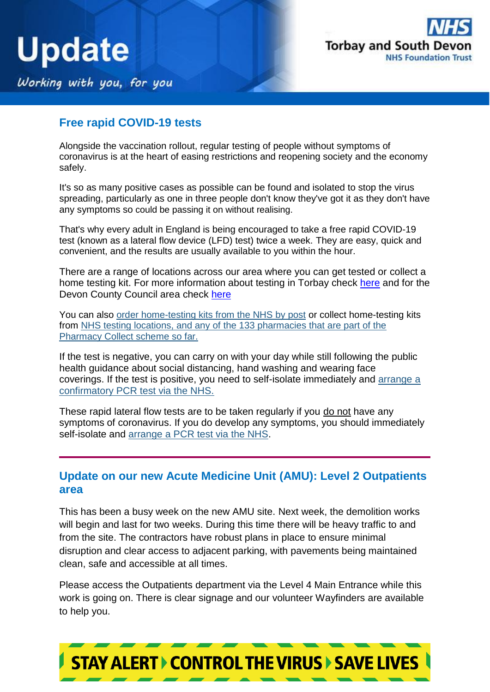



Working with you, for you

#### **Free rapid COVID-19 tests**

Alongside the vaccination rollout, regular testing of people without symptoms of coronavirus is at the heart of easing restrictions and reopening society and the economy safely.

It's so as many positive cases as possible can be found and isolated to stop the virus spreading, particularly as one in three people don't know they've got it as they don't have any symptoms so could be passing it on without realising.

That's why every adult in England is being encouraged to take a free rapid COVID-19 test (known as a lateral flow device (LFD) test) twice a week. They are easy, quick and convenient, and the results are usually available to you within the hour.

There are a range of locations across our area where you can get tested or collect a home testing kit. For more information about testing in Torbay check [here](https://www.torbay.gov.uk/health-and-wellbeing/public-health/coronavirus/community-testing/) and for the Devon County Council area check [here](https://www.devon.gov.uk/coronavirus-advice-in-devon/book-a-covid-19-lateral-flow-test/)

You can also [order home-testing kits from the NHS by post](https://lnks.gd/l/eyJhbGciOiJIUzI1NiJ9.eyJidWxsZXRpbl9saW5rX2lkIjoxMjYsInVyaSI6ImJwMjpjbGljayIsImJ1bGxldGluX2lkIjoiMjAyMTA0MTYuMzg5MTUwNzEiLCJ1cmwiOiJodHRwczovL3d3dy5nb3YudWsvb3JkZXItY29yb25hdmlydXMtcmFwaWQtbGF0ZXJhbC1mbG93LXRlc3RzIn0.BV2mdI46zBoeFhP9bPSGOzjF7FwteeRm3aapWFL7vvA/s/661381203/br/102465471254-l) or collect home-testing kits from [NHS testing locations, and any of the 133 pharmacies that are part of the](https://lnks.gd/l/eyJhbGciOiJIUzI1NiJ9.eyJidWxsZXRpbl9saW5rX2lkIjoxMjcsInVyaSI6ImJwMjpjbGljayIsImJ1bGxldGluX2lkIjoiMjAyMTA0MTYuMzg5MTUwNzEiLCJ1cmwiOiJodHRwczovL21hcHMudGVzdC1hbmQtdHJhY2UubmhzLnVrLyJ9.ZOQhK_E1A0D1n1WF_Kv0fIuQqg1nVCfLWuOa6IvAXsM/s/661381203/br/102465471254-l)  [Pharmacy Collect scheme so far.](https://lnks.gd/l/eyJhbGciOiJIUzI1NiJ9.eyJidWxsZXRpbl9saW5rX2lkIjoxMjcsInVyaSI6ImJwMjpjbGljayIsImJ1bGxldGluX2lkIjoiMjAyMTA0MTYuMzg5MTUwNzEiLCJ1cmwiOiJodHRwczovL21hcHMudGVzdC1hbmQtdHJhY2UubmhzLnVrLyJ9.ZOQhK_E1A0D1n1WF_Kv0fIuQqg1nVCfLWuOa6IvAXsM/s/661381203/br/102465471254-l)

If the test is negative, you can carry on with your day while still following the public health guidance about social distancing, hand washing and wearing face coverings. If the test is positive, you need to self-isolate immediately and [arrange a](https://lnks.gd/l/eyJhbGciOiJIUzI1NiJ9.eyJidWxsZXRpbl9saW5rX2lkIjoxMjgsInVyaSI6ImJwMjpjbGljayIsImJ1bGxldGluX2lkIjoiMjAyMTA0MTYuMzg5MTUwNzEiLCJ1cmwiOiJodHRwczovL3d3dy5nb3YudWsvZ2V0LWNvcm9uYXZpcnVzLXRlc3QifQ.IBPM3Qq3AAukWHis0tusoz5EpKKLN6LX083rAfd4d9Y/s/661381203/br/102465471254-l)  [confirmatory PCR test via the NHS.](https://lnks.gd/l/eyJhbGciOiJIUzI1NiJ9.eyJidWxsZXRpbl9saW5rX2lkIjoxMjgsInVyaSI6ImJwMjpjbGljayIsImJ1bGxldGluX2lkIjoiMjAyMTA0MTYuMzg5MTUwNzEiLCJ1cmwiOiJodHRwczovL3d3dy5nb3YudWsvZ2V0LWNvcm9uYXZpcnVzLXRlc3QifQ.IBPM3Qq3AAukWHis0tusoz5EpKKLN6LX083rAfd4d9Y/s/661381203/br/102465471254-l)

These rapid lateral flow tests are to be taken regularly if you do not have any symptoms of coronavirus. If you do develop any symptoms, you should immediately self-isolate and [arrange a PCR test via the NHS.](https://lnks.gd/l/eyJhbGciOiJIUzI1NiJ9.eyJidWxsZXRpbl9saW5rX2lkIjoxMjksInVyaSI6ImJwMjpjbGljayIsImJ1bGxldGluX2lkIjoiMjAyMTA0MTYuMzg5MTUwNzEiLCJ1cmwiOiJodHRwczovL21jYXMtcHJveHl3ZWIubWNhcy5tcy9jZXJ0aWZpY2F0ZS1jaGVja2VyP2xvZ2luPWZhbHNlJm9yaWdpbmFsVXJsPWh0dHBzJTNBJTJGJTJGd3d3Lmdvdi51ay5tY2FzLm1zJTJGZ2V0LWNvcm9uYXZpcnVzLXRlc3QifQ.MNKQ_xE1-hMIwoCloDP7_fFcfGikyHNms01FkgyBqMg/s/661381203/br/102465471254-l)

#### **Update on our new Acute Medicine Unit (AMU): Level 2 Outpatients area**

This has been a busy week on the new AMU site. Next week, the demolition works will begin and last for two weeks. During this time there will be heavy traffic to and from the site. The contractors have robust plans in place to ensure minimal disruption and clear access to adjacent parking, with pavements being maintained clean, safe and accessible at all times.

Please access the Outpatients department via the Level 4 Main Entrance while this work is going on. There is clear signage and our volunteer Wayfinders are available to help you.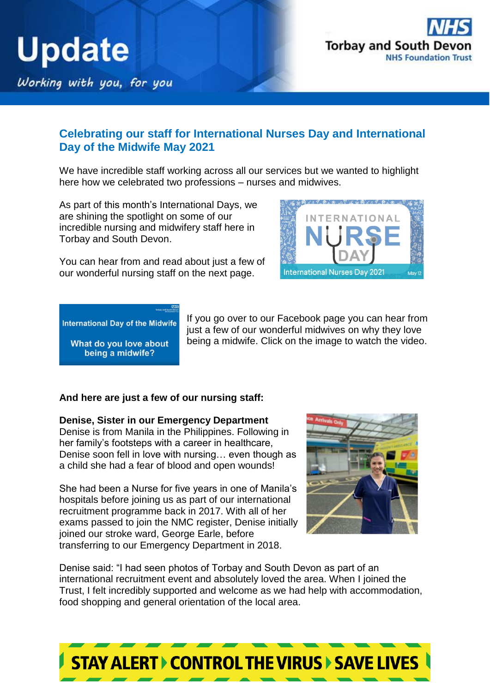



#### **Celebrating our staff for International Nurses Day and International Day of the Midwife May 2021**

We have incredible staff working across all our services but we wanted to highlight here how we celebrated two professions – nurses and midwives.

As part of this month's International Days, we are shining the spotlight on some of our incredible nursing and midwifery staff here in Torbay and South Devon.



You can hear from and read about just a few of our wonderful nursing staff on the next page.

**International Day of the Midwife** 

What do you love about being a midwife?

If you go over to our Facebook page you can hear from just a few of our wonderful midwives on why they love being a midwife. Click on the image to watch the video.

#### **And here are just a few of our nursing staff:**

**Denise, Sister in our Emergency Department** Denise is from Manila in the Philippines. Following in

her family's footsteps with a career in healthcare, Denise soon fell in love with nursing… even though as a child she had a fear of blood and open wounds!

She had been a Nurse for five years in one of Manila's hospitals before joining us as part of our international recruitment programme back in 2017. With all of her exams passed to join the NMC register, Denise initially joined our stroke ward, George Earle, before transferring to our Emergency Department in 2018.



Denise said: "I had seen photos of Torbay and South Devon as part of an international recruitment event and absolutely loved the area. When I joined the Trust, I felt incredibly supported and welcome as we had help with accommodation, food shopping and general orientation of the local area.

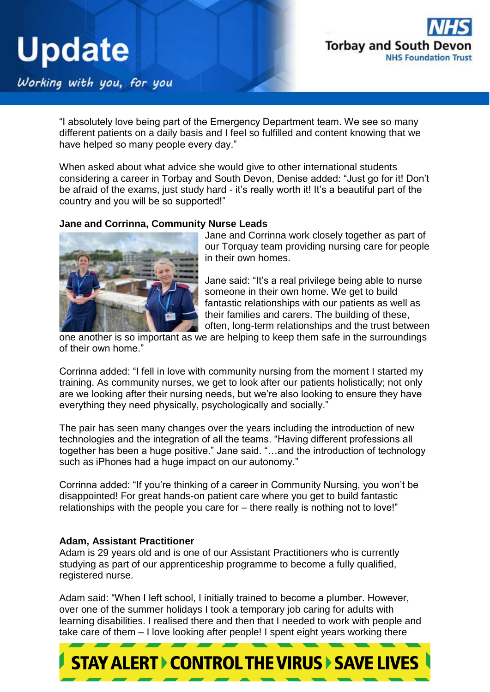

Working with you, for you

"I absolutely love being part of the Emergency Department team. We see so many different patients on a daily basis and I feel so fulfilled and content knowing that we have helped so many people every day."

When asked about what advice she would give to other international students considering a career in Torbay and South Devon, Denise added: "Just go for it! Don't be afraid of the exams, just study hard - it's really worth it! It's a beautiful part of the country and you will be so supported!"

#### **Jane and Corrinna, Community Nurse Leads**



Jane and Corrinna work closely together as part of our Torquay team providing nursing care for people in their own homes.

Jane said: "It's a real privilege being able to nurse someone in their own home. We get to build fantastic relationships with our patients as well as their families and carers. The building of these, often, long-term relationships and the trust between

one another is so important as we are helping to keep them safe in the surroundings of their own home."

Corrinna added: "I fell in love with community nursing from the moment I started my training. As community nurses, we get to look after our patients holistically; not only are we looking after their nursing needs, but we're also looking to ensure they have everything they need physically, psychologically and socially."

The pair has seen many changes over the years including the introduction of new technologies and the integration of all the teams. "Having different professions all together has been a huge positive." Jane said. "…and the introduction of technology such as iPhones had a huge impact on our autonomy."

Corrinna added: "If you're thinking of a career in Community Nursing, you won't be disappointed! For great hands-on patient care where you get to build fantastic relationships with the people you care for – there really is nothing not to love!"

#### **Adam, Assistant Practitioner**

Adam is 29 years old and is one of our Assistant Practitioners who is currently studying as part of our apprenticeship programme to become a fully qualified, registered nurse.

Adam said: "When I left school, I initially trained to become a plumber. However, over one of the summer holidays I took a temporary job caring for adults with learning disabilities. I realised there and then that I needed to work with people and take care of them – I love looking after people! I spent eight years working there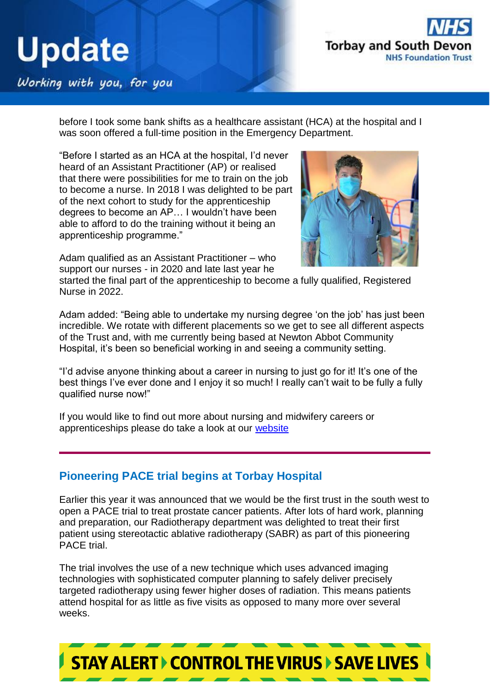

### Working with you, for you

before I took some bank shifts as a healthcare assistant (HCA) at the hospital and I was soon offered a full-time position in the Emergency Department.

"Before I started as an HCA at the hospital, I'd never heard of an Assistant Practitioner (AP) or realised that there were possibilities for me to train on the job to become a nurse. In 2018 I was delighted to be part of the next cohort to study for the apprenticeship degrees to become an AP… I wouldn't have been able to afford to do the training without it being an apprenticeship programme."



Adam qualified as an Assistant Practitioner – who support our nurses - in 2020 and late last year he

started the final part of the apprenticeship to become a fully qualified, Registered Nurse in 2022.

Adam added: "Being able to undertake my nursing degree 'on the job' has just been incredible. We rotate with different placements so we get to see all different aspects of the Trust and, with me currently being based at Newton Abbot Community Hospital, it's been so beneficial working in and seeing a community setting.

"I'd advise anyone thinking about a career in nursing to just go for it! It's one of the best things I've ever done and I enjoy it so much! I really can't wait to be fully a fully qualified nurse now!"

If you would like to find out more about nursing and midwifery careers or apprenticeships please do take a look at our [website](https://www.torbayandsouthdevon.nhs.uk/about-us/working-with-us/)

#### **Pioneering PACE trial begins at Torbay Hospital**

Earlier this year it was announced that we would be the first trust in the south west to open a PACE trial to treat prostate cancer patients. After lots of hard work, planning and preparation, our Radiotherapy department was delighted to treat their first patient using stereotactic ablative radiotherapy (SABR) as part of this pioneering PACE trial.

The trial involves the use of a new technique which uses advanced imaging technologies with sophisticated computer planning to safely deliver precisely targeted radiotherapy using fewer higher doses of radiation. This means patients attend hospital for as little as five visits as opposed to many more over several weeks.

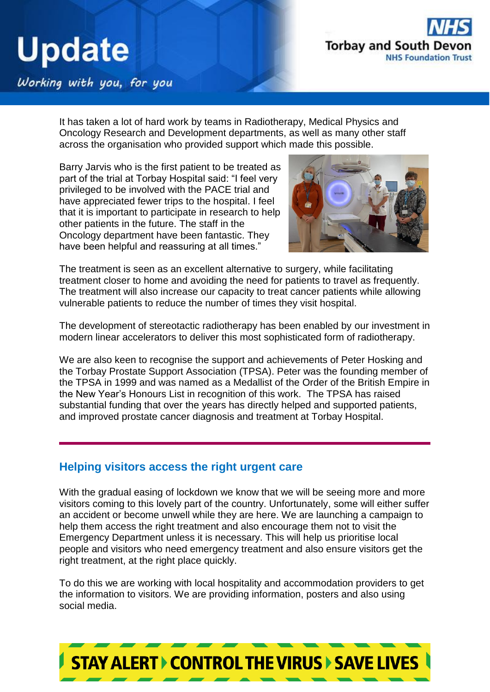

### Working with you, for you

It has taken a lot of hard work by teams in Radiotherapy, Medical Physics and Oncology Research and Development departments, as well as many other staff across the organisation who provided support which made this possible.

Barry Jarvis who is the first patient to be treated as part of the trial at Torbay Hospital said: "I feel very privileged to be involved with the PACE trial and have appreciated fewer trips to the hospital. I feel that it is important to participate in research to help other patients in the future. The staff in the Oncology department have been fantastic. They have been helpful and reassuring at all times."



The treatment is seen as an excellent alternative to surgery, while facilitating treatment closer to home and avoiding the need for patients to travel as frequently. The treatment will also increase our capacity to treat cancer patients while allowing vulnerable patients to reduce the number of times they visit hospital.

The development of stereotactic radiotherapy has been enabled by our investment in modern linear accelerators to deliver this most sophisticated form of radiotherapy.

We are also keen to recognise the support and achievements of Peter Hosking and the Torbay Prostate Support Association (TPSA). Peter was the founding member of the TPSA in 1999 and was named as a Medallist of the Order of the British Empire in the New Year's Honours List in recognition of this work. The TPSA has raised substantial funding that over the years has directly helped and supported patients, and improved prostate cancer diagnosis and treatment at Torbay Hospital.

#### **Helping visitors access the right urgent care**

With the gradual easing of lockdown we know that we will be seeing more and more visitors coming to this lovely part of the country. Unfortunately, some will either suffer an accident or become unwell while they are here. We are launching a campaign to help them access the right treatment and also encourage them not to visit the Emergency Department unless it is necessary. This will help us prioritise local people and visitors who need emergency treatment and also ensure visitors get the right treatment, at the right place quickly.

To do this we are working with local hospitality and accommodation providers to get the information to visitors. We are providing information, posters and also using social media.

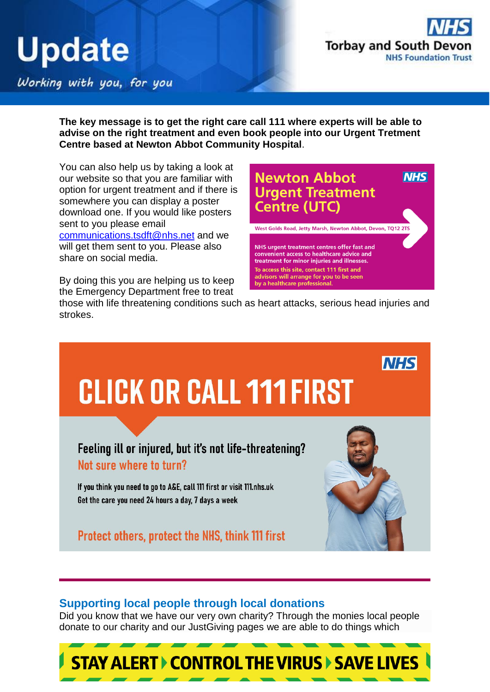

**NHS** 

### Working with you, for you

**The key message is to get the right care call 111 where experts will be able to advise on the right treatment and even book people into our Urgent Tretment Centre based at Newton Abbot Community Hospital**.

You can also help us by taking a look at our website so that you are familiar with option for urgent treatment and if there is somewhere you can display a poster download one. If you would like posters sent to you please email [communications.tsdft@nhs.net](mailto:communications.tsdft@nhs.net) and we will get them sent to you. Please also share on social media.

By doing this you are helping us to keep the Emergency Department free to treat

**Centre (UTC)** West Golds Road, Jetty Marsh, Newton Abbot, Devon, TQ12 2TS NHS urgent treatment centres offer fast and convenient access to healthcare advice and treatment for minor injuries and illnesses. To access this site, contact 111 first and advisors will arrange for you to be seen by a healthcare professional.

**Newton Abbot** 

**Urgent Treatment** 

those with life threatening conditions such as heart attacks, serious head injuries and strokes.



#### **Supporting local people through local donations**

Did you know that we have our very own charity? Through the monies local people donate to our charity and our JustGiving pages we are able to do things which